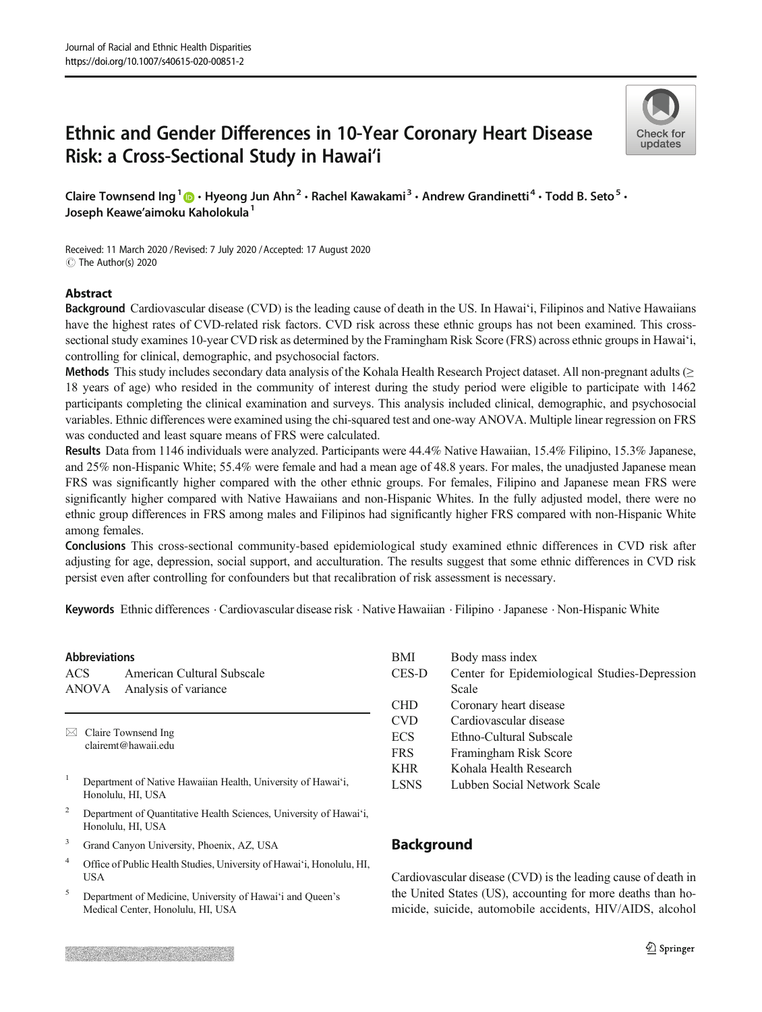# Ethnic and Gender Differences in 10-Year Coronary Heart Disease Risk: a Cross-Sectional Study in Hawai'i



Claire Townsend Ing<sup>1</sup>  $\cdot$  Hyeong Jun Ahn<sup>2</sup> · Rachel Kawakami<sup>3</sup> · Andrew Grandinetti<sup>4</sup> · Todd B. Seto<sup>5</sup> · Joseph Keawe'aimoku Kaholokula<sup>1</sup>

Received: 11 March 2020 / Revised: 7 July 2020 /Accepted: 17 August 2020  $\circledcirc$  The Author(s) 2020

#### Abstract

Background Cardiovascular disease (CVD) is the leading cause of death in the US. In Hawai'i, Filipinos and Native Hawaiians have the highest rates of CVD-related risk factors. CVD risk across these ethnic groups has not been examined. This crosssectional study examines 10-year CVD risk as determined by the Framingham Risk Score (FRS) across ethnic groups in Hawai'i, controlling for clinical, demographic, and psychosocial factors.

Methods This study includes secondary data analysis of the Kohala Health Research Project dataset. All non-pregnant adults (≥ 18 years of age) who resided in the community of interest during the study period were eligible to participate with 1462 participants completing the clinical examination and surveys. This analysis included clinical, demographic, and psychosocial variables. Ethnic differences were examined using the chi-squared test and one-way ANOVA. Multiple linear regression on FRS was conducted and least square means of FRS were calculated.

Results Data from 1146 individuals were analyzed. Participants were 44.4% Native Hawaiian, 15.4% Filipino, 15.3% Japanese, and 25% non-Hispanic White; 55.4% were female and had a mean age of 48.8 years. For males, the unadjusted Japanese mean FRS was significantly higher compared with the other ethnic groups. For females, Filipino and Japanese mean FRS were significantly higher compared with Native Hawaiians and non-Hispanic Whites. In the fully adjusted model, there were no ethnic group differences in FRS among males and Filipinos had significantly higher FRS compared with non-Hispanic White among females.

Conclusions This cross-sectional community-based epidemiological study examined ethnic differences in CVD risk after adjusting for age, depression, social support, and acculturation. The results suggest that some ethnic differences in CVD risk persist even after controlling for confounders but that recalibration of risk assessment is necessary.

Keywords Ethnic differences . Cardiovascular disease risk . Native Hawaiian . Filipino .Japanese . Non-Hispanic White

#### Abbreviations

ACS American Cultural Subscale ANOVA Analysis of variance

 $\boxtimes$  Claire Townsend Ing [clairemt@hawaii.edu](mailto:clairemt@hawaii.edu)

- <sup>1</sup> Department of Native Hawaiian Health, University of Hawai'i, Honolulu, HI, USA
- <sup>2</sup> Department of Quantitative Health Sciences, University of Hawai'i, Honolulu, HI, USA
- <sup>3</sup> Grand Canyon University, Phoenix, AZ, USA
- <sup>4</sup> Office of Public Health Studies, University of Hawai'i, Honolulu, HI, **USA**
- <sup>5</sup> Department of Medicine, University of Hawai'i and Queen's Medical Center, Honolulu, HI, USA

| BMI         | Body mass index                               |
|-------------|-----------------------------------------------|
| CES-D       | Center for Epidemiological Studies-Depression |
|             | Scale                                         |
| <b>CHD</b>  | Coronary heart disease                        |
| <b>CVD</b>  | Cardiovascular disease                        |
| <b>ECS</b>  | Ethno-Cultural Subscale                       |
| <b>FRS</b>  | Framingham Risk Score                         |
| <b>KHR</b>  | Kohala Health Research                        |
| <b>LSNS</b> | Lubben Social Network Scale                   |
|             |                                               |

# **Background**

Cardiovascular disease (CVD) is the leading cause of death in the United States (US), accounting for more deaths than homicide, suicide, automobile accidents, HIV/AIDS, alcohol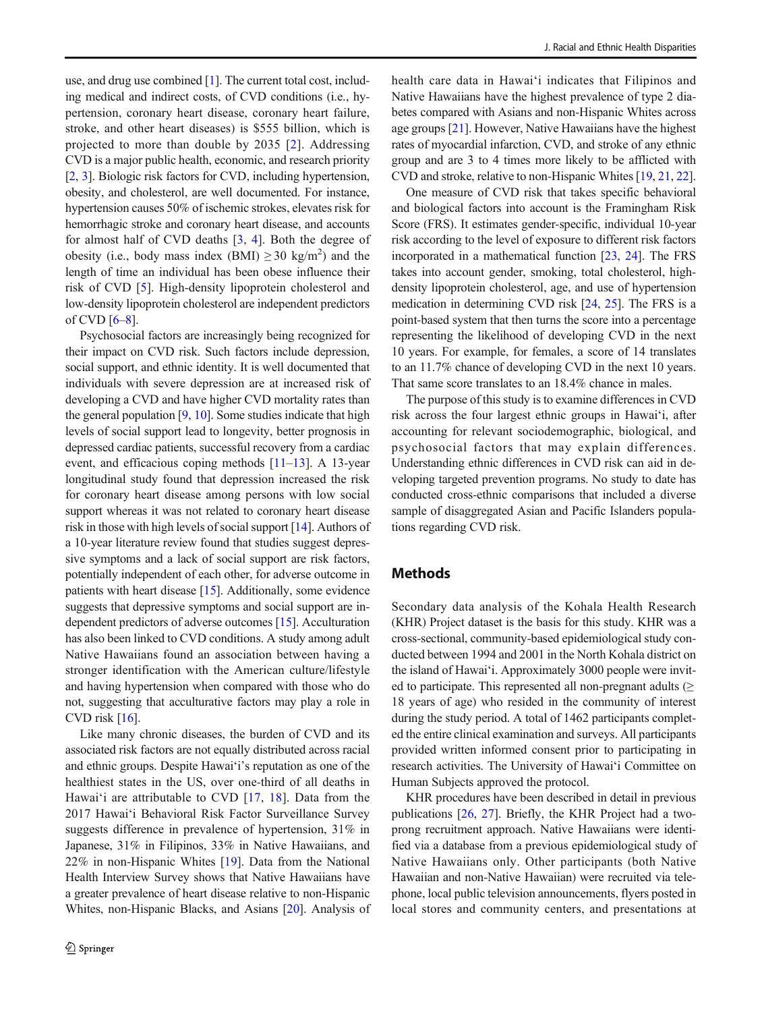use, and drug use combined [\[1](#page-8-0)]. The current total cost, including medical and indirect costs, of CVD conditions (i.e., hypertension, coronary heart disease, coronary heart failure, stroke, and other heart diseases) is \$555 billion, which is projected to more than double by 2035 [[2](#page-8-0)]. Addressing CVD is a major public health, economic, and research priority [\[2](#page-8-0), [3\]](#page-8-0). Biologic risk factors for CVD, including hypertension, obesity, and cholesterol, are well documented. For instance, hypertension causes 50% of ischemic strokes, elevates risk for hemorrhagic stroke and coronary heart disease, and accounts for almost half of CVD deaths [\[3](#page-8-0), [4\]](#page-8-0). Both the degree of obesity (i.e., body mass index  $(BMI) \ge 30 \text{ kg/m}^2$ ) and the length of time an individual has been obese influence their risk of CVD [[5\]](#page-8-0). High-density lipoprotein cholesterol and low-density lipoprotein cholesterol are independent predictors of CVD  $[6-8]$  $[6-8]$  $[6-8]$ .

Psychosocial factors are increasingly being recognized for their impact on CVD risk. Such factors include depression, social support, and ethnic identity. It is well documented that individuals with severe depression are at increased risk of developing a CVD and have higher CVD mortality rates than the general population  $[9, 10]$  $[9, 10]$  $[9, 10]$ . Some studies indicate that high levels of social support lead to longevity, better prognosis in depressed cardiac patients, successful recovery from a cardiac event, and efficacious coping methods [\[11](#page-8-0)–[13\]](#page-8-0). A 13-year longitudinal study found that depression increased the risk for coronary heart disease among persons with low social support whereas it was not related to coronary heart disease risk in those with high levels of social support [[14](#page-8-0)]. Authors of a 10-year literature review found that studies suggest depressive symptoms and a lack of social support are risk factors, potentially independent of each other, for adverse outcome in patients with heart disease [\[15](#page-8-0)]. Additionally, some evidence suggests that depressive symptoms and social support are independent predictors of adverse outcomes [\[15](#page-8-0)]. Acculturation has also been linked to CVD conditions. A study among adult Native Hawaiians found an association between having a stronger identification with the American culture/lifestyle and having hypertension when compared with those who do not, suggesting that acculturative factors may play a role in CVD risk [[16](#page-8-0)].

Like many chronic diseases, the burden of CVD and its associated risk factors are not equally distributed across racial and ethnic groups. Despite Hawai'i's reputation as one of the healthiest states in the US, over one-third of all deaths in Hawai'i are attributable to CVD [[17,](#page-8-0) [18\]](#page-8-0). Data from the 2017 Hawai'i Behavioral Risk Factor Surveillance Survey suggests difference in prevalence of hypertension, 31% in Japanese, 31% in Filipinos, 33% in Native Hawaiians, and 22% in non-Hispanic Whites [[19](#page-8-0)]. Data from the National Health Interview Survey shows that Native Hawaiians have a greater prevalence of heart disease relative to non-Hispanic Whites, non-Hispanic Blacks, and Asians [\[20](#page-8-0)]. Analysis of health care data in Hawai'i indicates that Filipinos and Native Hawaiians have the highest prevalence of type 2 diabetes compared with Asians and non-Hispanic Whites across age groups [\[21](#page-8-0)]. However, Native Hawaiians have the highest rates of myocardial infarction, CVD, and stroke of any ethnic group and are 3 to 4 times more likely to be afflicted with CVD and stroke, relative to non-Hispanic Whites [\[19](#page-8-0), [21](#page-8-0), [22\]](#page-8-0).

One measure of CVD risk that takes specific behavioral and biological factors into account is the Framingham Risk Score (FRS). It estimates gender-specific, individual 10-year risk according to the level of exposure to different risk factors incorporated in a mathematical function [[23,](#page-8-0) [24\]](#page-8-0). The FRS takes into account gender, smoking, total cholesterol, highdensity lipoprotein cholesterol, age, and use of hypertension medication in determining CVD risk [\[24](#page-8-0), [25\]](#page-8-0). The FRS is a point-based system that then turns the score into a percentage representing the likelihood of developing CVD in the next 10 years. For example, for females, a score of 14 translates to an 11.7% chance of developing CVD in the next 10 years. That same score translates to an 18.4% chance in males.

The purpose of this study is to examine differences in CVD risk across the four largest ethnic groups in Hawai'i, after accounting for relevant sociodemographic, biological, and psychosocial factors that may explain differences. Understanding ethnic differences in CVD risk can aid in developing targeted prevention programs. No study to date has conducted cross-ethnic comparisons that included a diverse sample of disaggregated Asian and Pacific Islanders populations regarding CVD risk.

## **Methods**

Secondary data analysis of the Kohala Health Research (KHR) Project dataset is the basis for this study. KHR was a cross-sectional, community-based epidemiological study conducted between 1994 and 2001 in the North Kohala district on the island of Hawai'i. Approximately 3000 people were invited to participate. This represented all non-pregnant adults  $(≥$ 18 years of age) who resided in the community of interest during the study period. A total of 1462 participants completed the entire clinical examination and surveys. All participants provided written informed consent prior to participating in research activities. The University of Hawai'i Committee on Human Subjects approved the protocol.

KHR procedures have been described in detail in previous publications [[26](#page-9-0), [27](#page-9-0)]. Briefly, the KHR Project had a twoprong recruitment approach. Native Hawaiians were identified via a database from a previous epidemiological study of Native Hawaiians only. Other participants (both Native Hawaiian and non-Native Hawaiian) were recruited via telephone, local public television announcements, flyers posted in local stores and community centers, and presentations at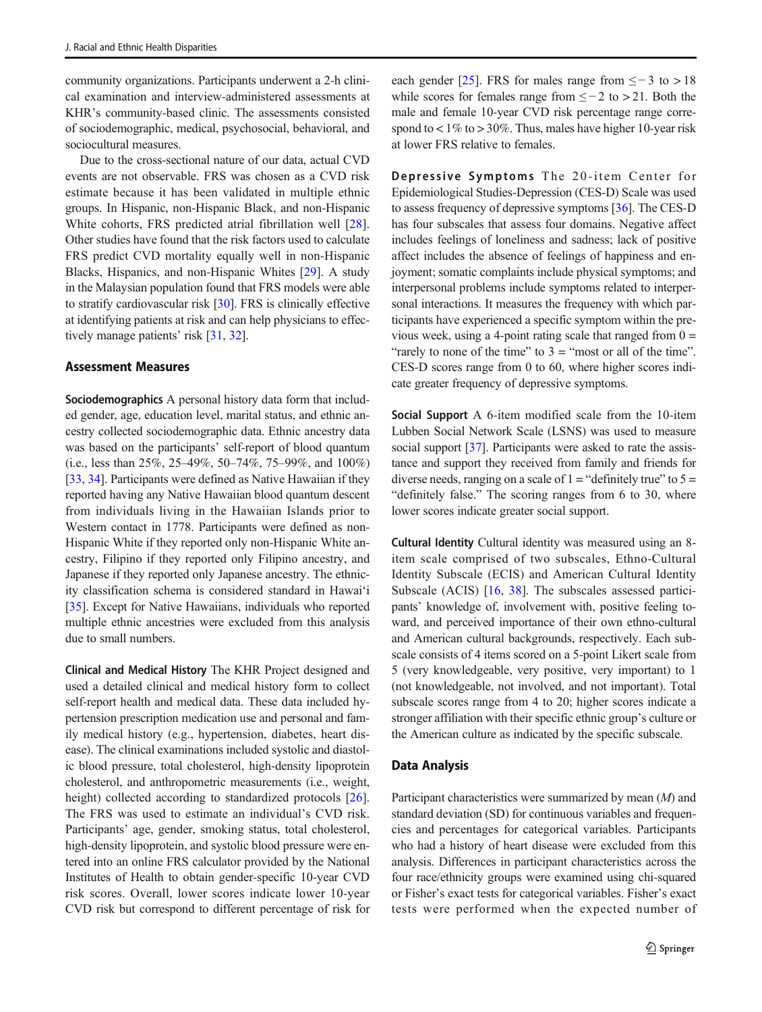community organizations. Participants underwent a 2-h clinical examination and interview-administered assessments at KHR's community-based clinic. The assessments consisted of sociodemographic, medical, psychosocial, behavioral, and sociocultural measures.

Due to the cross-sectional nature of our data, actual CVD events are not observable. FRS was chosen as a CVD risk estimate because it has been validated in multiple ethnic groups. In Hispanic, non-Hispanic Black, and non-Hispanic White cohorts, FRS predicted atrial fibrillation well [\[28](#page-9-0)]. Other studies have found that the risk factors used to calculate FRS predict CVD mortality equally well in non-Hispanic Blacks, Hispanics, and non-Hispanic Whites [[29\]](#page-9-0). A study in the Malaysian population found that FRS models were able to stratify cardiovascular risk [\[30\]](#page-9-0). FRS is clinically effective at identifying patients at risk and can help physicians to effectively manage patients' risk [\[31](#page-9-0), [32\]](#page-9-0).

#### Assessment Measures

Sociodemographics A personal history data form that included gender, age, education level, marital status, and ethnic ancestry collected sociodemographic data. Ethnic ancestry data was based on the participants' self-report of blood quantum (i.e., less than 25%, 25–49%, 50–74%, 75–99%, and 100%) [\[33,](#page-9-0) [34](#page-9-0)]. Participants were defined as Native Hawaiian if they reported having any Native Hawaiian blood quantum descent from individuals living in the Hawaiian Islands prior to Western contact in 1778. Participants were defined as non-Hispanic White if they reported only non-Hispanic White ancestry, Filipino if they reported only Filipino ancestry, and Japanese if they reported only Japanese ancestry. The ethnicity classification schema is considered standard in Hawai'i [\[35\]](#page-9-0). Except for Native Hawaiians, individuals who reported multiple ethnic ancestries were excluded from this analysis due to small numbers.

Clinical and Medical History The KHR Project designed and used a detailed clinical and medical history form to collect self-report health and medical data. These data included hypertension prescription medication use and personal and family medical history (e.g., hypertension, diabetes, heart disease). The clinical examinations included systolic and diastolic blood pressure, total cholesterol, high-density lipoprotein cholesterol, and anthropometric measurements (i.e., weight, height) collected according to standardized protocols [\[26](#page-9-0)]. The FRS was used to estimate an individual's CVD risk. Participants' age, gender, smoking status, total cholesterol, high-density lipoprotein, and systolic blood pressure were entered into an online FRS calculator provided by the National Institutes of Health to obtain gender-specific 10-year CVD risk scores. Overall, lower scores indicate lower 10-year CVD risk but correspond to different percentage of risk for

each gender  $[25]$  $[25]$ . FRS for males range from  $\le -3$  to  $> 18$ while scores for females range from  $\leq -2$  to > 21. Both the male and female 10-year CVD risk percentage range correspond to  $\lt 1\%$  to  $> 30\%$ . Thus, males have higher 10-year risk at lower FRS relative to females.

Depressive Symptoms The 20-item Center for Epidemiological Studies-Depression (CES-D) Scale was used to assess frequency of depressive symptoms [\[36\]](#page-9-0). The CES-D has four subscales that assess four domains. Negative affect includes feelings of loneliness and sadness; lack of positive affect includes the absence of feelings of happiness and enjoyment; somatic complaints include physical symptoms; and interpersonal problems include symptoms related to interpersonal interactions. It measures the frequency with which participants have experienced a specific symptom within the previous week, using a 4-point rating scale that ranged from  $0 =$ "rarely to none of the time" to  $3 =$  "most or all of the time". CES-D scores range from 0 to 60, where higher scores indicate greater frequency of depressive symptoms.

Social Support A 6-item modified scale from the 10-item Lubben Social Network Scale (LSNS) was used to measure social support [[37\]](#page-9-0). Participants were asked to rate the assistance and support they received from family and friends for diverse needs, ranging on a scale of  $1 =$  "definitely true" to  $5 =$ "definitely false." The scoring ranges from 6 to 30, where lower scores indicate greater social support.

Cultural Identity Cultural identity was measured using an 8 item scale comprised of two subscales, Ethno-Cultural Identity Subscale (ECIS) and American Cultural Identity Subscale (ACIS) [[16,](#page-8-0) [38\]](#page-9-0). The subscales assessed participants' knowledge of, involvement with, positive feeling toward, and perceived importance of their own ethno-cultural and American cultural backgrounds, respectively. Each subscale consists of 4 items scored on a 5-point Likert scale from 5 (very knowledgeable, very positive, very important) to 1 (not knowledgeable, not involved, and not important). Total subscale scores range from 4 to 20; higher scores indicate a stronger affiliation with their specific ethnic group's culture or the American culture as indicated by the specific subscale.

#### Data Analysis

Participant characteristics were summarized by mean (M) and standard deviation (SD) for continuous variables and frequencies and percentages for categorical variables. Participants who had a history of heart disease were excluded from this analysis. Differences in participant characteristics across the four race/ethnicity groups were examined using chi-squared or Fisher's exact tests for categorical variables. Fisher's exact tests were performed when the expected number of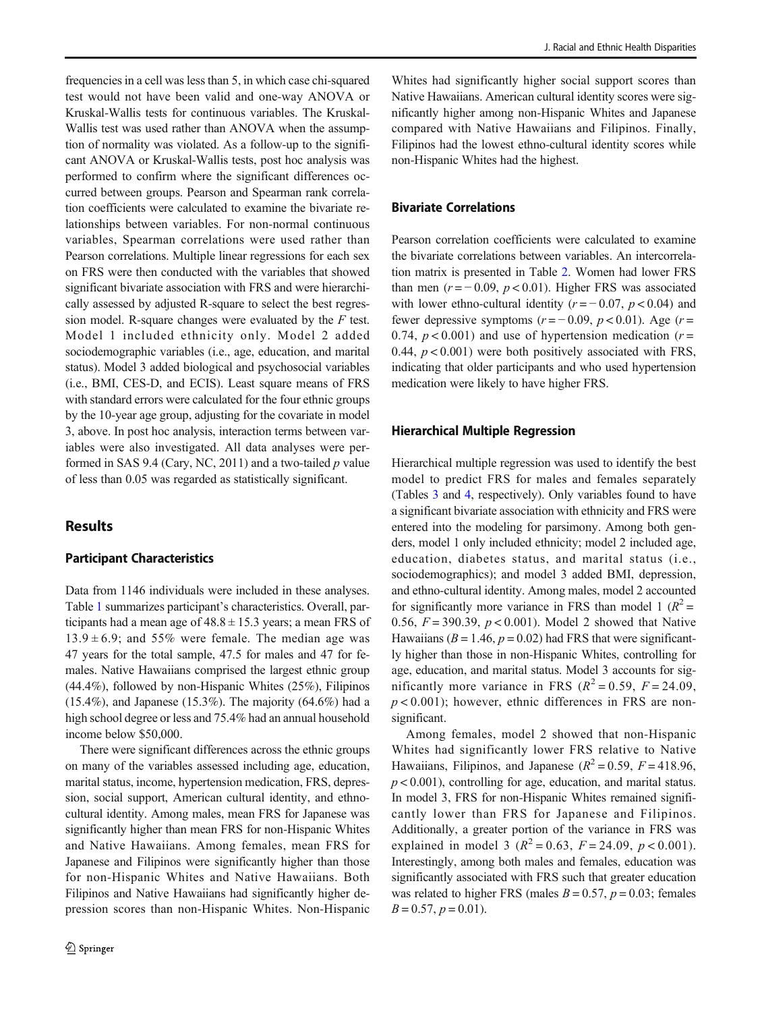frequencies in a cell was less than 5, in which case chi-squared test would not have been valid and one-way ANOVA or Kruskal-Wallis tests for continuous variables. The Kruskal-Wallis test was used rather than ANOVA when the assumption of normality was violated. As a follow-up to the significant ANOVA or Kruskal-Wallis tests, post hoc analysis was performed to confirm where the significant differences occurred between groups. Pearson and Spearman rank correlation coefficients were calculated to examine the bivariate relationships between variables. For non-normal continuous variables, Spearman correlations were used rather than Pearson correlations. Multiple linear regressions for each sex on FRS were then conducted with the variables that showed significant bivariate association with FRS and were hierarchically assessed by adjusted R-square to select the best regression model. R-square changes were evaluated by the  $F$  test. Model 1 included ethnicity only. Model 2 added sociodemographic variables (i.e., age, education, and marital status). Model 3 added biological and psychosocial variables (i.e., BMI, CES-D, and ECIS). Least square means of FRS with standard errors were calculated for the four ethnic groups by the 10-year age group, adjusting for the covariate in model 3, above. In post hoc analysis, interaction terms between variables were also investigated. All data analyses were performed in SAS 9.4 (Cary, NC, 2011) and a two-tailed  $p$  value of less than 0.05 was regarded as statistically significant.

## Results

#### Participant Characteristics

Data from 1146 individuals were included in these analyses. Table [1](#page-4-0) summarizes participant's characteristics. Overall, participants had a mean age of  $48.8 \pm 15.3$  years; a mean FRS of  $13.9 \pm 6.9$ ; and 55% were female. The median age was 47 years for the total sample, 47.5 for males and 47 for females. Native Hawaiians comprised the largest ethnic group (44.4%), followed by non-Hispanic Whites (25%), Filipinos (15.4%), and Japanese (15.3%). The majority (64.6%) had a high school degree or less and 75.4% had an annual household income below \$50,000.

There were significant differences across the ethnic groups on many of the variables assessed including age, education, marital status, income, hypertension medication, FRS, depression, social support, American cultural identity, and ethnocultural identity. Among males, mean FRS for Japanese was significantly higher than mean FRS for non-Hispanic Whites and Native Hawaiians. Among females, mean FRS for Japanese and Filipinos were significantly higher than those for non-Hispanic Whites and Native Hawaiians. Both Filipinos and Native Hawaiians had significantly higher depression scores than non-Hispanic Whites. Non-Hispanic

Whites had significantly higher social support scores than Native Hawaiians. American cultural identity scores were significantly higher among non-Hispanic Whites and Japanese compared with Native Hawaiians and Filipinos. Finally, Filipinos had the lowest ethno-cultural identity scores while non-Hispanic Whites had the highest.

### Bivariate Correlations

Pearson correlation coefficients were calculated to examine the bivariate correlations between variables. An intercorrelation matrix is presented in Table [2](#page-5-0). Women had lower FRS than men ( $r = -0.09$ ,  $p < 0.01$ ). Higher FRS was associated with lower ethno-cultural identity ( $r = -0.07$ ,  $p < 0.04$ ) and fewer depressive symptoms  $(r = -0.09, p < 0.01)$ . Age  $(r =$ 0.74,  $p < 0.001$ ) and use of hypertension medication ( $r =$ 0.44,  $p < 0.001$ ) were both positively associated with FRS, indicating that older participants and who used hypertension medication were likely to have higher FRS.

#### Hierarchical Multiple Regression

Hierarchical multiple regression was used to identify the best model to predict FRS for males and females separately (Tables [3](#page-5-0) and [4](#page-6-0), respectively). Only variables found to have a significant bivariate association with ethnicity and FRS were entered into the modeling for parsimony. Among both genders, model 1 only included ethnicity; model 2 included age, education, diabetes status, and marital status (i.e., sociodemographics); and model 3 added BMI, depression, and ethno-cultural identity. Among males, model 2 accounted for significantly more variance in FRS than model 1 ( $R^2$  = 0.56,  $F = 390.39$ ,  $p < 0.001$ ). Model 2 showed that Native Hawaiians ( $B = 1.46$ ,  $p = 0.02$ ) had FRS that were significantly higher than those in non-Hispanic Whites, controlling for age, education, and marital status. Model 3 accounts for significantly more variance in FRS  $(R^2 = 0.59, F = 24.09,$  $p < 0.001$ ; however, ethnic differences in FRS are nonsignificant.

Among females, model 2 showed that non-Hispanic Whites had significantly lower FRS relative to Native Hawaiians, Filipinos, and Japanese ( $R^2 = 0.59$ ,  $F = 418.96$ ,  $p < 0.001$ ), controlling for age, education, and marital status. In model 3, FRS for non-Hispanic Whites remained significantly lower than FRS for Japanese and Filipinos. Additionally, a greater portion of the variance in FRS was explained in model 3  $(R^2 = 0.63, F = 24.09, p < 0.001)$ . Interestingly, among both males and females, education was significantly associated with FRS such that greater education was related to higher FRS (males  $B = 0.57$ ,  $p = 0.03$ ; females  $B = 0.57$ ,  $p = 0.01$ ).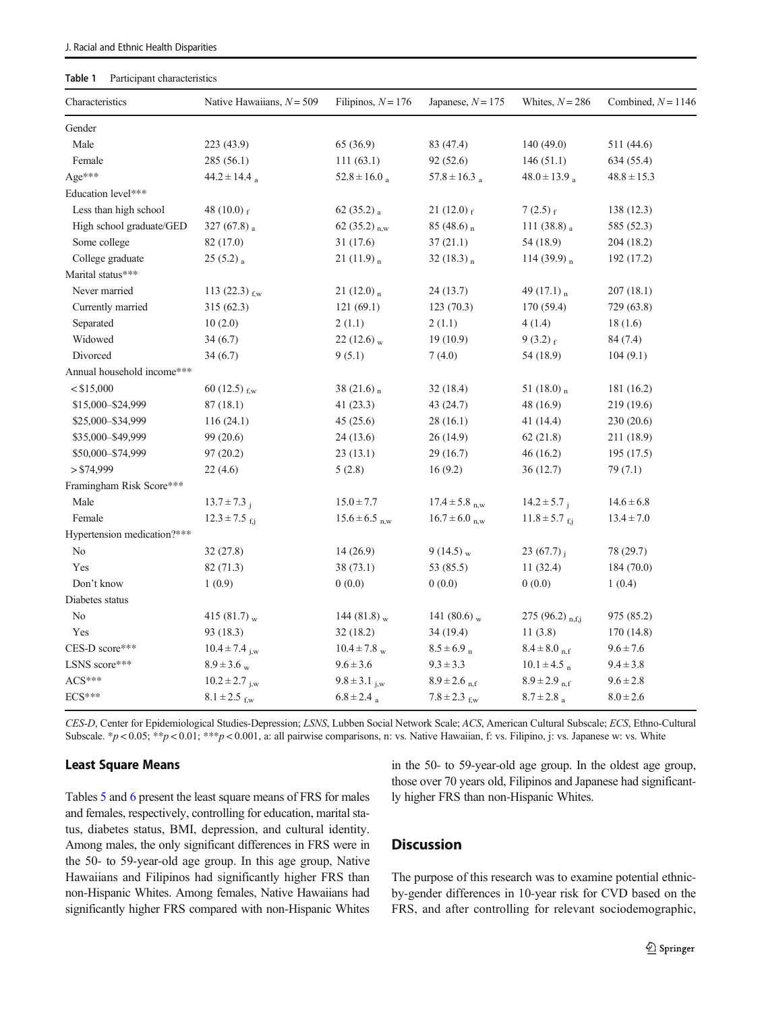#### <span id="page-4-0"></span>Table 1 Participant characteristics

| Characteristics             | Native Hawaiians, $N = 509$   | Filipinos, $N = 176$         | Japanese, $N = 175$          | Whites, $N = 286$          | Combined, $N = 1146$ |
|-----------------------------|-------------------------------|------------------------------|------------------------------|----------------------------|----------------------|
| Gender                      |                               |                              |                              |                            |                      |
| Male                        | 223 (43.9)                    | 65 (36.9)                    | 83 (47.4)                    | 140(49.0)                  | 511 (44.6)           |
| Female                      | 285 (56.1)                    | 111(63.1)                    | 92 (52.6)                    | 146(51.1)                  | 634 (55.4)           |
| Age***                      | $44.2 \pm 14.4$ <sub>a</sub>  | $52.8 \pm 16.0$ <sub>a</sub> | $57.8 \pm 16.3$ <sub>a</sub> | $48.0 \pm 13.9$            | $48.8 \pm 15.3$      |
| Education level***          |                               |                              |                              |                            |                      |
| Less than high school       | 48 (10.0) $_f$                | 62 $(35.2)$ <sub>a</sub>     | 21 $(12.0)$ f                | $7(2.5)_{f}$               | 138 (12.3)           |
| High school graduate/GED    | 327 (67.8) $_a$               | 62 $(35.2)$ <sub>n.w</sub>   | 85 (48.6) $_{n}$             | 111 $(38.8)$ <sub>a</sub>  | 585 (52.3)           |
| Some college                | 82 (17.0)                     | 31 (17.6)                    | 37(21.1)                     | 54 (18.9)                  | 204 (18.2)           |
| College graduate            | $25(5.2)_{\text{a}}$          | $21(11.9)$ <sub>n</sub>      | 32 $(18.3)$ <sub>n</sub>     | 114 (39.9) $n$             | 192 (17.2)           |
| Marital status***           |                               |                              |                              |                            |                      |
| Never married               | 113 $(22.3)$ <sub>f.w</sub>   | 21 (12.0) $_{\text{n}}$      | 24 (13.7)                    | 49 $(17.1)$ <sub>n</sub>   | 207(18.1)            |
| Currently married           | 315(62.3)                     | 121(69.1)                    | 123(70.3)                    | 170(59.4)                  | 729 (63.8)           |
| Separated                   | 10(2.0)                       | 2(1.1)                       | 2(1.1)                       | 4(1.4)                     | 18(1.6)              |
| Widowed                     | 34(6.7)                       | 22 (12.6) $_{\rm w}$         | 19(10.9)                     | $9(3.2)_{f}$               | 84 (7.4)             |
| Divorced                    | 34(6.7)                       | 9(5.1)                       | 7(4.0)                       | 54 (18.9)                  | 104(9.1)             |
| Annual household income***  |                               |                              |                              |                            |                      |
| $<$ \$15,000                | 60 $(12.5)$ <sub>f,w</sub>    | 38 $(21.6)$ <sub>n</sub>     | 32 (18.4)                    | 51 $(18.0)$ <sub>n</sub>   | 181 (16.2)           |
| \$15,000-\$24,999           | 87(18.1)                      | 41 (23.3)                    | 43 (24.7)                    | 48 (16.9)                  | 219 (19.6)           |
| \$25,000-\$34,999           | 116(24.1)                     | 45(25.6)                     | 28(16.1)                     | 41 (14.4)                  | 230 (20.6)           |
| \$35,000-\$49,999           | 99 (20.6)                     | 24 (13.6)                    | 26 (14.9)                    | 62(21.8)                   | 211 (18.9)           |
| \$50,000-\$74,999           | 97(20.2)                      | 23(13.1)                     | 29 (16.7)                    | 46(16.2)                   | 195(17.5)            |
| > \$74,999                  | 22(4.6)                       | 5(2.8)                       | 16(9.2)                      | 36(12.7)                   | 79 (7.1)             |
| Framingham Risk Score***    |                               |                              |                              |                            |                      |
| Male                        | $13.7 \pm 7.3$ <sub>i</sub>   | $15.0 \pm 7.7$               | $17.4 \pm 5.8$ n.w           | $14.2 \pm 5.7$ ;           | $14.6 \pm 6.8$       |
| Female                      | $12.3 \pm 7.5$ fi             | $15.6 \pm 6.5$ n.w           | $16.7 \pm 6.0$ n.w           | $11.8 \pm 5.7$ f.i         | $13.4 \pm 7.0$       |
| Hypertension medication?*** |                               |                              |                              |                            |                      |
| N <sub>0</sub>              | 32(27.8)                      | 14(26.9)                     | 9 (14.5) $_{\rm w}$          | 23 $(67.7)$ <sub>i</sub>   | 78 (29.7)            |
| Yes                         | 82 (71.3)                     | 38 (73.1)                    | 53 (85.5)                    | 11(32.4)                   | 184 (70.0)           |
| Don't know                  | 1(0.9)                        | 0(0.0)                       | 0(0.0)                       | 0(0.0)                     | 1(0.4)               |
| Diabetes status             |                               |                              |                              |                            |                      |
| N <sub>0</sub>              | 415 (81.7) $_{\rm w}$         | 144 (81.8) $_{\rm w}$        | 141 (80.6) $_{\rm w}$        | 275 (96.2) $_{n,f,j}$      | 975 (85.2)           |
| Yes                         | 93 (18.3)                     | 32(18.2)                     | 34 (19.4)                    | 11(3.8)                    | 170 (14.8)           |
| CES-D score***              | $10.4 \pm 7.4$ <sub>j,w</sub> | $10.4 \pm 7.8$ <sub>w</sub>  | $8.5 \pm 6.9$ n              | $8.4 \pm 8.0$ n.f          | $9.6 \pm 7.6$        |
| LSNS score***               | $8.9 \pm 3.6$ w               | $9.6 \pm 3.6$                | $9.3 \pm 3.3$                | $10.1 \pm 4.5$ n           | $9.4 \pm 3.8$        |
| $ACS***$                    | $10.2 \pm 2.7$ <sub>i,w</sub> | $9.8 \pm 3.1$ i.w            | $8.9 \pm 2.6$ n f            | $8.9 \pm 2.9$ n.f          | $9.6 \pm 2.8$        |
| ECS***                      | $8.1 \pm 2.5$ fw              | $6.8 \pm 2.4$ a              | $7.8 \pm 2.3$ f.w            | $8.7 \pm 2.8$ <sub>a</sub> | $8.0 \pm 2.6$        |

CES-D, Center for Epidemiological Studies-Depression; LSNS, Lubben Social Network Scale; ACS, American Cultural Subscale; ECS, Ethno-Cultural Subscale. \*p < 0.05; \*\*p < 0.01; \*\*\*p < 0.001, a: all pairwise comparisons, n: vs. Native Hawaiian, f: vs. Filipino, j: vs. Japanese w: vs. White

#### Least Square Means

Tables [5](#page-6-0) and [6](#page-7-0) present the least square means of FRS for males and females, respectively, controlling for education, marital status, diabetes status, BMI, depression, and cultural identity. Among males, the only significant differences in FRS were in the 50- to 59-year-old age group. In this age group, Native Hawaiians and Filipinos had significantly higher FRS than non-Hispanic Whites. Among females, Native Hawaiians had significantly higher FRS compared with non-Hispanic Whites in the 50- to 59-year-old age group. In the oldest age group, those over 70 years old, Filipinos and Japanese had significantly higher FRS than non-Hispanic Whites.

## **Discussion**

The purpose of this research was to examine potential ethnicby-gender differences in 10-year risk for CVD based on the FRS, and after controlling for relevant sociodemographic,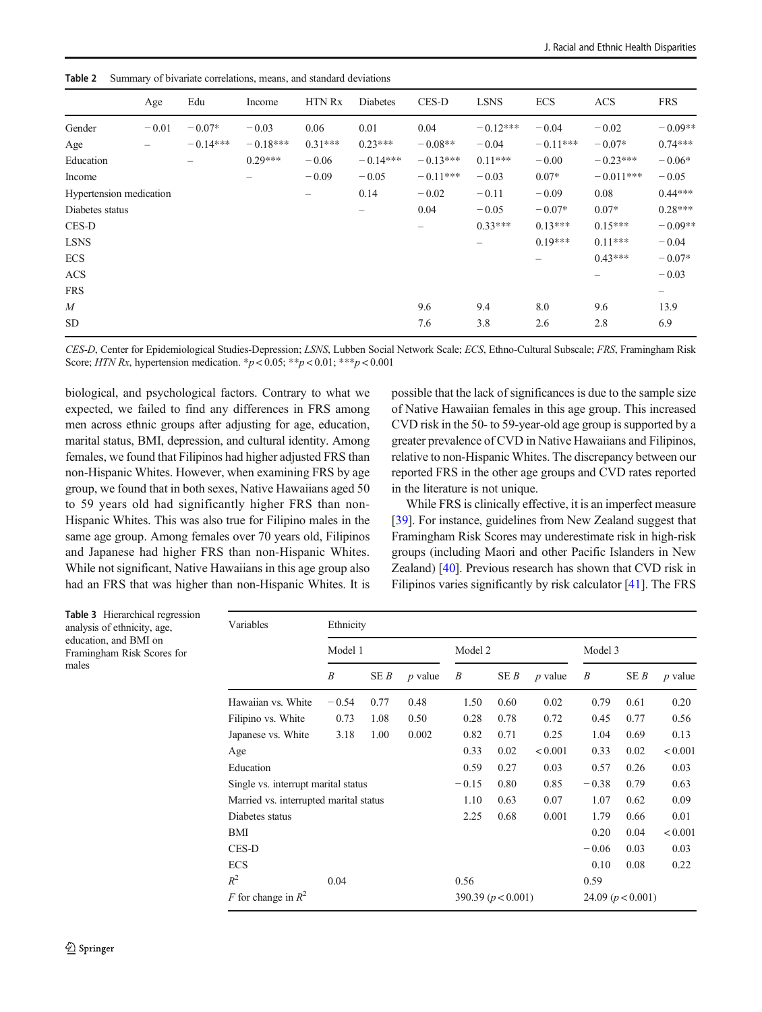<span id="page-5-0"></span>Table 2 Summary of bivariate correlations, means, and standard deviations

|                         | Age     | Edu        | Income     | <b>HTN Rx</b> | <b>Diabetes</b> | CES-D      | <b>LSNS</b> | <b>ECS</b> | <b>ACS</b>  | <b>FRS</b> |
|-------------------------|---------|------------|------------|---------------|-----------------|------------|-------------|------------|-------------|------------|
| Gender                  | $-0.01$ | $-0.07*$   | $-0.03$    | 0.06          | 0.01            | 0.04       | $-0.12***$  | $-0.04$    | $-0.02$     | $-0.09**$  |
| Age                     |         | $-0.14***$ | $-0.18***$ | $0.31***$     | $0.23***$       | $-0.08**$  | $-0.04$     | $-0.11***$ | $-0.07*$    | $0.74***$  |
| Education               |         |            | $0.29***$  | $-0.06$       | $-0.14***$      | $-0.13***$ | $0.11***$   | $-0.00$    | $-0.23***$  | $-0.06*$   |
| Income                  |         |            |            | $-0.09$       | $-0.05$         | $-0.11***$ | $-0.03$     | $0.07*$    | $-0.011***$ | $-0.05$    |
| Hypertension medication |         |            |            | -             | 0.14            | $-0.02$    | $-0.11$     | $-0.09$    | 0.08        | $0.44***$  |
| Diabetes status         |         |            |            |               | -               | 0.04       | $-0.05$     | $-0.07*$   | $0.07*$     | $0.28***$  |
| CES-D                   |         |            |            |               |                 | -          | $0.33***$   | $0.13***$  | $0.15***$   | $-0.09**$  |
| <b>LSNS</b>             |         |            |            |               |                 |            |             | $0.19***$  | $0.11***$   | $-0.04$    |
| <b>ECS</b>              |         |            |            |               |                 |            |             | -          | $0.43***$   | $-0.07*$   |
| <b>ACS</b>              |         |            |            |               |                 |            |             |            |             | $-0.03$    |
| <b>FRS</b>              |         |            |            |               |                 |            |             |            |             | —          |
| $\boldsymbol{M}$        |         |            |            |               |                 | 9.6        | 9.4         | 8.0        | 9.6         | 13.9       |
| <b>SD</b>               |         |            |            |               |                 | 7.6        | 3.8         | 2.6        | 2.8         | 6.9        |

CES-D, Center for Epidemiological Studies-Depression; LSNS, Lubben Social Network Scale; ECS, Ethno-Cultural Subscale; FRS, Framingham Risk Score; HTN Rx, hypertension medication.  ${}^*p$  < 0.05;  ${}^*{}^*p$  < 0.01;  ${}^*{}^*{}^p$  < 0.001

biological, and psychological factors. Contrary to what we expected, we failed to find any differences in FRS among men across ethnic groups after adjusting for age, education, marital status, BMI, depression, and cultural identity. Among females, we found that Filipinos had higher adjusted FRS than non-Hispanic Whites. However, when examining FRS by age group, we found that in both sexes, Native Hawaiians aged 50 to 59 years old had significantly higher FRS than non-Hispanic Whites. This was also true for Filipino males in the same age group. Among females over 70 years old, Filipinos and Japanese had higher FRS than non-Hispanic Whites. While not significant, Native Hawaiians in this age group also had an FRS that was higher than non-Hispanic Whites. It is possible that the lack of significances is due to the sample size of Native Hawaiian females in this age group. This increased CVD risk in the 50- to 59-year-old age group is supported by a greater prevalence of CVD in Native Hawaiians and Filipinos, relative to non-Hispanic Whites. The discrepancy between our reported FRS in the other age groups and CVD rates reported in the literature is not unique.

While FRS is clinically effective, it is an imperfect measure [\[39](#page-9-0)]. For instance, guidelines from New Zealand suggest that Framingham Risk Scores may underestimate risk in high-risk groups (including Maori and other Pacific Islanders in New Zealand) [\[40\]](#page-9-0). Previous research has shown that CVD risk in Filipinos varies significantly by risk calculator [\[41](#page-9-0)]. The FRS

| <b>Table 3</b> Hierarchical regression<br>analysis of ethnicity, age,<br>education, and BMI on<br>Framingham Risk Scores for<br>males | Variables                              | Ethnicity        |      |           |         |                                               |           |         |      |           |
|---------------------------------------------------------------------------------------------------------------------------------------|----------------------------------------|------------------|------|-----------|---------|-----------------------------------------------|-----------|---------|------|-----------|
|                                                                                                                                       |                                        | Model 1          |      |           | Model 2 |                                               |           | Model 3 |      |           |
|                                                                                                                                       |                                        | $\boldsymbol{B}$ | SEB  | $p$ value | B       | SEB                                           | $p$ value | B       | SE B | $p$ value |
|                                                                                                                                       | Hawaiian vs. White                     | $-0.54$          | 0.77 | 0.48      | 1.50    | 0.60                                          | 0.02      | 0.79    | 0.61 | 0.20      |
|                                                                                                                                       | Filipino vs. White                     | 0.73             | 1.08 | 0.50      | 0.28    | 0.78                                          | 0.72      | 0.45    | 0.77 | 0.56      |
|                                                                                                                                       | Japanese vs. White                     | 3.18             | 1.00 | 0.002     | 0.82    | 0.71                                          | 0.25      | 1.04    | 0.69 | 0.13      |
|                                                                                                                                       | Age                                    |                  |      |           | 0.33    | 0.02                                          | < 0.001   | 0.33    | 0.02 | < 0.001   |
|                                                                                                                                       | Education                              |                  |      |           | 0.59    | 0.27                                          | 0.03      | 0.57    | 0.26 | 0.03      |
|                                                                                                                                       | Single vs. interrupt marital status    |                  |      |           |         | 0.80                                          | 0.85      | $-0.38$ | 0.79 | 0.63      |
|                                                                                                                                       | Married vs. interrupted marital status |                  |      |           |         | 0.63                                          | 0.07      | 1.07    | 0.62 | 0.09      |
|                                                                                                                                       | Diabetes status                        |                  |      |           |         | 0.68                                          | 0.001     | 1.79    | 0.66 | 0.01      |
|                                                                                                                                       | BMI                                    |                  |      |           |         | 0.20                                          | 0.04      | < 0.001 |      |           |
|                                                                                                                                       | CES-D                                  |                  |      |           |         | $-0.06$                                       | 0.03      | 0.03    |      |           |
|                                                                                                                                       | <b>ECS</b>                             |                  |      |           |         |                                               |           | 0.10    | 0.08 | 0.22      |
|                                                                                                                                       | $R^2$                                  | 0.04             |      |           | 0.56    |                                               |           | 0.59    |      |           |
|                                                                                                                                       | F for change in $R^2$                  |                  |      |           |         | 390.39 ( $p < 0.001$ )<br>24.09 $(p < 0.001)$ |           |         |      |           |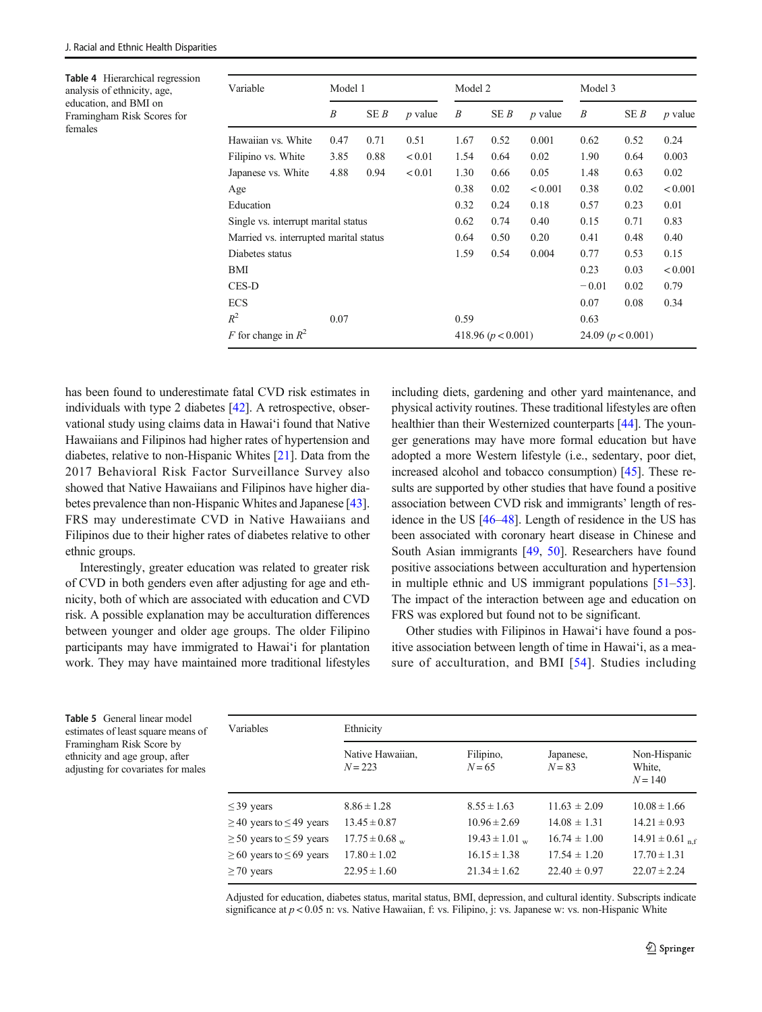<span id="page-6-0"></span>Table 4 Hierarchical regression analysis of ethnicity, age, education, and BMI on Framingham Risk Scores for females

| Variable                               | Model 1 |      |                | Model 2                |      |           | Model 3             |      |           |
|----------------------------------------|---------|------|----------------|------------------------|------|-----------|---------------------|------|-----------|
|                                        | B       | SE B | <i>p</i> value | B                      | SE B | $p$ value | B                   | SE B | $p$ value |
| Hawaiian vs. White                     | 0.47    | 0.71 | 0.51           | 1.67                   | 0.52 | 0.001     | 0.62                | 0.52 | 0.24      |
| Filipino vs. White                     | 3.85    | 0.88 | < 0.01         | 1.54                   | 0.64 | 0.02      | 1.90                | 0.64 | 0.003     |
| Japanese vs. White                     | 4.88    | 0.94 | < 0.01         | 1.30                   | 0.66 | 0.05      | 1.48                | 0.63 | 0.02      |
| Age                                    |         |      |                | 0.38                   | 0.02 | < 0.001   | 0.38                | 0.02 | < 0.001   |
| Education                              |         |      |                | 0.32                   | 0.24 | 0.18      | 0.57                | 0.23 | 0.01      |
| Single vs. interrupt marital status    |         |      |                | 0.62                   | 0.74 | 0.40      | 0.15                | 0.71 | 0.83      |
| Married vs. interrupted marital status |         |      |                | 0.64                   | 0.50 | 0.20      | 0.41                | 0.48 | 0.40      |
| Diabetes status                        |         |      |                | 1.59                   | 0.54 | 0.004     | 0.77                | 0.53 | 0.15      |
| BMI                                    |         |      |                |                        |      |           | 0.23                | 0.03 | < 0.001   |
| CES-D                                  |         |      |                |                        |      |           | $-0.01$             | 0.02 | 0.79      |
| <b>ECS</b>                             |         |      |                |                        |      |           | 0.07                | 0.08 | 0.34      |
| $R^2$                                  | 0.07    |      |                | 0.59                   |      |           | 0.63                |      |           |
| F for change in $R^2$                  |         |      |                | 418.96 ( $p < 0.001$ ) |      |           | 24.09 $(p < 0.001)$ |      |           |

has been found to underestimate fatal CVD risk estimates in individuals with type 2 diabetes [[42\]](#page-9-0). A retrospective, observational study using claims data in Hawai'i found that Native Hawaiians and Filipinos had higher rates of hypertension and diabetes, relative to non-Hispanic Whites [\[21\]](#page-8-0). Data from the 2017 Behavioral Risk Factor Surveillance Survey also showed that Native Hawaiians and Filipinos have higher diabetes prevalence than non-Hispanic Whites and Japanese [[43\]](#page-9-0). FRS may underestimate CVD in Native Hawaiians and Filipinos due to their higher rates of diabetes relative to other ethnic groups.

Interestingly, greater education was related to greater risk of CVD in both genders even after adjusting for age and ethnicity, both of which are associated with education and CVD risk. A possible explanation may be acculturation differences between younger and older age groups. The older Filipino participants may have immigrated to Hawai'i for plantation work. They may have maintained more traditional lifestyles including diets, gardening and other yard maintenance, and physical activity routines. These traditional lifestyles are often healthier than their Westernized counterparts [[44\]](#page-9-0). The younger generations may have more formal education but have adopted a more Western lifestyle (i.e., sedentary, poor diet, increased alcohol and tobacco consumption) [\[45](#page-9-0)]. These results are supported by other studies that have found a positive association between CVD risk and immigrants' length of residence in the US [[46](#page-9-0)–[48](#page-9-0)]. Length of residence in the US has been associated with coronary heart disease in Chinese and South Asian immigrants [[49,](#page-9-0) [50\]](#page-9-0). Researchers have found positive associations between acculturation and hypertension in multiple ethnic and US immigrant populations [[51](#page-9-0)–[53\]](#page-9-0). The impact of the interaction between age and education on FRS was explored but found not to be significant.

Other studies with Filipinos in Hawai'i have found a positive association between length of time in Hawai'i, as a measure of acculturation, and BMI [[54](#page-9-0)]. Studies including

Table 5 General linear model estimates of least square means of Framingham Risk Score by ethnicity and age group, after adjusting for covariates for males

| Variables                          | Ethnicity                     |                       |                       |                                     |  |  |  |  |  |
|------------------------------------|-------------------------------|-----------------------|-----------------------|-------------------------------------|--|--|--|--|--|
|                                    | Native Hawaiian,<br>$N = 223$ | Filipino,<br>$N = 65$ | Japanese,<br>$N = 83$ | Non-Hispanic<br>White.<br>$N = 140$ |  |  |  |  |  |
| $\leq$ 39 years                    | $8.86 \pm 1.28$               | $8.55 \pm 1.63$       | $11.63 \pm 2.09$      | $10.08 \pm 1.66$                    |  |  |  |  |  |
| $\geq$ 40 years to $\leq$ 49 years | $13.45 \pm 0.87$              | $10.96 \pm 2.69$      | $14.08 \pm 1.31$      | $14.21 \pm 0.93$                    |  |  |  |  |  |
| $\geq$ 50 years to $\leq$ 59 years | $17.75 \pm 0.68$ w            | $19.43 \pm 1.01$ w    | $16.74 \pm 1.00$      | $14.91 \pm 0.61$ <sub>nf</sub>      |  |  |  |  |  |
| $\geq 60$ years to $\leq 69$ years | $17.80 \pm 1.02$              | $16.15 \pm 1.38$      | $17.54 \pm 1.20$      | $17.70 \pm 1.31$                    |  |  |  |  |  |
| $\geq$ 70 years                    | $22.95 \pm 1.60$              | $21.34 \pm 1.62$      | $22.40 \pm 0.97$      | $22.07 \pm 2.24$                    |  |  |  |  |  |

Adjusted for education, diabetes status, marital status, BMI, depression, and cultural identity. Subscripts indicate significance at  $p < 0.05$  n: vs. Native Hawaiian, f: vs. Filipino, j: vs. Japanese w: vs. non-Hispanic White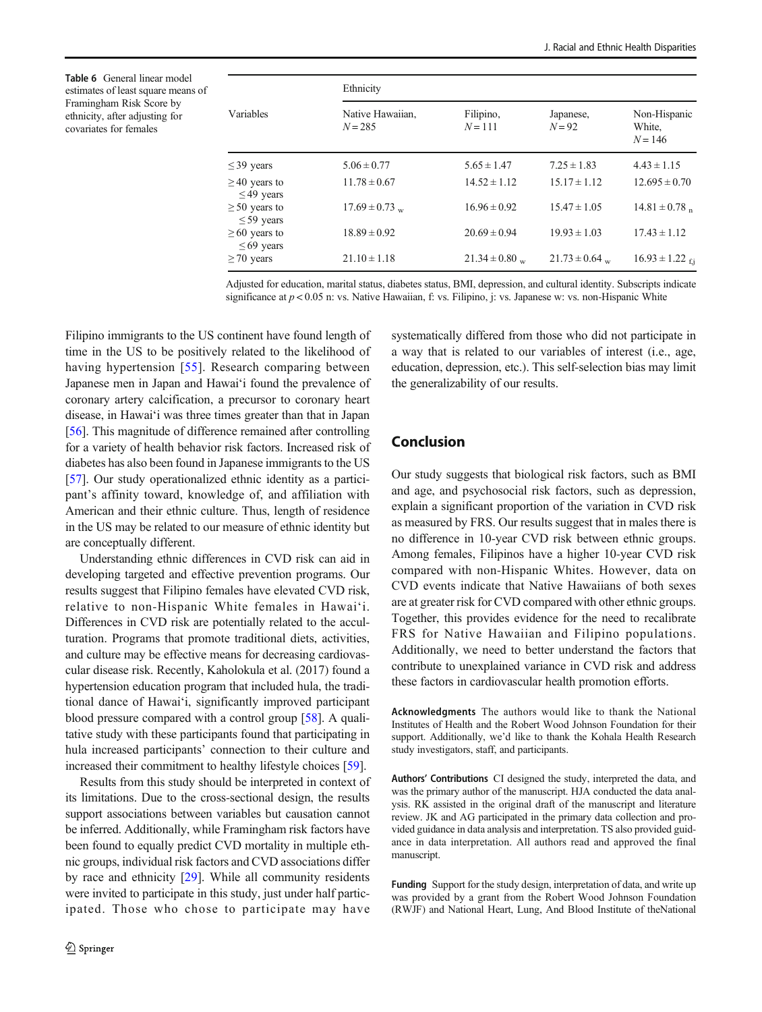<span id="page-7-0"></span>Table 6 General linear model estimates of least square means of Framingham Risk Score by ethnicity, after adjusting for covariates for females

|                                       | Ethnicity                     |                        |                     |                                     |  |  |  |  |  |
|---------------------------------------|-------------------------------|------------------------|---------------------|-------------------------------------|--|--|--|--|--|
| Variables                             | Native Hawaiian.<br>$N = 285$ | Filipino,<br>$N = 111$ | Japanese,<br>$N=92$ | Non-Hispanic<br>White,<br>$N = 146$ |  |  |  |  |  |
| $\leq$ 39 years                       | $5.06 \pm 0.77$               | $5.65 \pm 1.47$        | $7.25 \pm 1.83$     | $4.43 \pm 1.15$                     |  |  |  |  |  |
| $\geq$ 40 years to<br>$\leq$ 49 years | $11.78 \pm 0.67$              | $14.52 \pm 1.12$       | $15.17 \pm 1.12$    | $12.695 \pm 0.70$                   |  |  |  |  |  |
| $\geq 50$ years to<br>$\leq$ 59 years | $17.69 \pm 0.73$ w            | $16.96 \pm 0.92$       | $15.47 \pm 1.05$    | $14.81 \pm 0.78$ n                  |  |  |  |  |  |
| $\geq 60$ years to<br>$\leq 69$ years | $18.89 \pm 0.92$              | $20.69 \pm 0.94$       | $19.93 \pm 1.03$    | $17.43 \pm 1.12$                    |  |  |  |  |  |
| $\geq$ 70 years                       | $21.10 \pm 1.18$              | $21.34 \pm 0.80$ w     | $21.73 \pm 0.64$ w  | $16.93 \pm 1.22$ f.j                |  |  |  |  |  |

Adjusted for education, marital status, diabetes status, BMI, depression, and cultural identity. Subscripts indicate significance at  $p < 0.05$  n: vs. Native Hawaiian, f: vs. Filipino, j: vs. Japanese w: vs. non-Hispanic White

Filipino immigrants to the US continent have found length of time in the US to be positively related to the likelihood of having hypertension [\[55\]](#page-9-0). Research comparing between Japanese men in Japan and Hawai'i found the prevalence of coronary artery calcification, a precursor to coronary heart disease, in Hawai'i was three times greater than that in Japan [\[56\]](#page-9-0). This magnitude of difference remained after controlling for a variety of health behavior risk factors. Increased risk of diabetes has also been found in Japanese immigrants to the US [\[57](#page-9-0)]. Our study operationalized ethnic identity as a participant's affinity toward, knowledge of, and affiliation with American and their ethnic culture. Thus, length of residence in the US may be related to our measure of ethnic identity but are conceptually different.

Understanding ethnic differences in CVD risk can aid in developing targeted and effective prevention programs. Our results suggest that Filipino females have elevated CVD risk, relative to non-Hispanic White females in Hawai'i. Differences in CVD risk are potentially related to the acculturation. Programs that promote traditional diets, activities, and culture may be effective means for decreasing cardiovascular disease risk. Recently, Kaholokula et al. (2017) found a hypertension education program that included hula, the traditional dance of Hawai'i, significantly improved participant blood pressure compared with a control group [\[58](#page-9-0)]. A qualitative study with these participants found that participating in hula increased participants' connection to their culture and increased their commitment to healthy lifestyle choices [\[59](#page-9-0)].

Results from this study should be interpreted in context of its limitations. Due to the cross-sectional design, the results support associations between variables but causation cannot be inferred. Additionally, while Framingham risk factors have been found to equally predict CVD mortality in multiple ethnic groups, individual risk factors and CVD associations differ by race and ethnicity [\[29](#page-9-0)]. While all community residents were invited to participate in this study, just under half participated. Those who chose to participate may have

systematically differed from those who did not participate in a way that is related to our variables of interest (i.e., age, education, depression, etc.). This self-selection bias may limit the generalizability of our results.

## Conclusion

Our study suggests that biological risk factors, such as BMI and age, and psychosocial risk factors, such as depression, explain a significant proportion of the variation in CVD risk as measured by FRS. Our results suggest that in males there is no difference in 10-year CVD risk between ethnic groups. Among females, Filipinos have a higher 10-year CVD risk compared with non-Hispanic Whites. However, data on CVD events indicate that Native Hawaiians of both sexes are at greater risk for CVD compared with other ethnic groups. Together, this provides evidence for the need to recalibrate FRS for Native Hawaiian and Filipino populations. Additionally, we need to better understand the factors that contribute to unexplained variance in CVD risk and address these factors in cardiovascular health promotion efforts.

Acknowledgments The authors would like to thank the National Institutes of Health and the Robert Wood Johnson Foundation for their support. Additionally, we'd like to thank the Kohala Health Research study investigators, staff, and participants.

Authors' Contributions CI designed the study, interpreted the data, and was the primary author of the manuscript. HJA conducted the data analysis. RK assisted in the original draft of the manuscript and literature review. JK and AG participated in the primary data collection and provided guidance in data analysis and interpretation. TS also provided guidance in data interpretation. All authors read and approved the final manuscript.

Funding Support for the study design, interpretation of data, and write up was provided by a grant from the Robert Wood Johnson Foundation (RWJF) and National Heart, Lung, And Blood Institute of theNational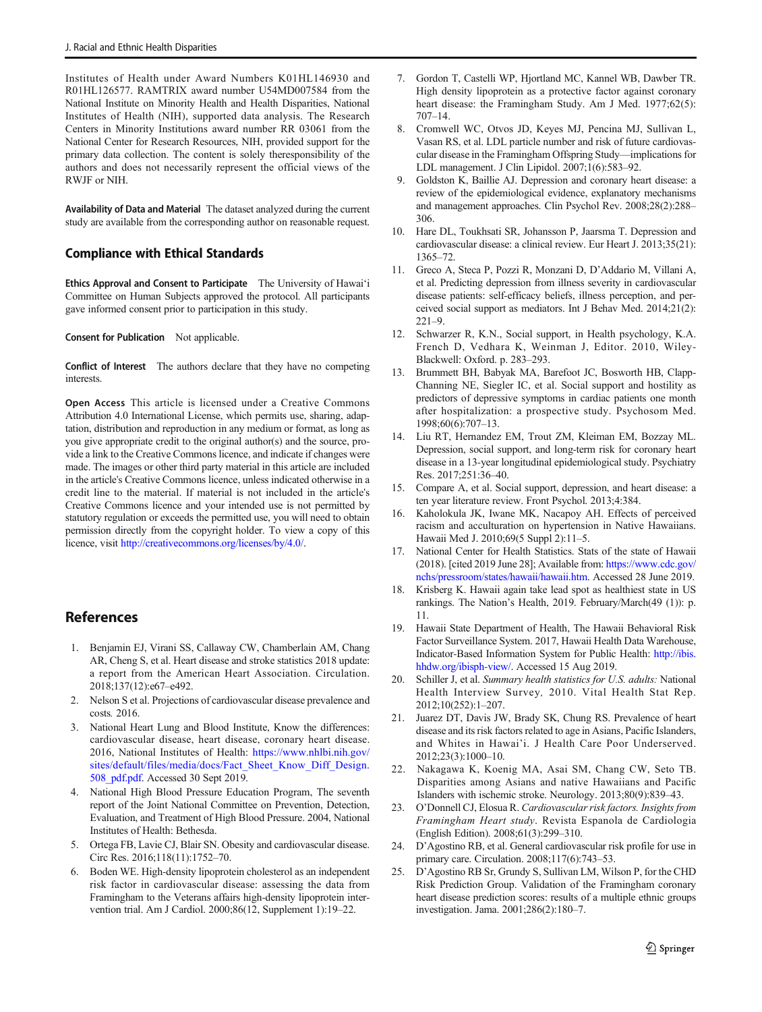<span id="page-8-0"></span>Institutes of Health under Award Numbers K01HL146930 and R01HL126577. RAMTRIX award number U54MD007584 from the National Institute on Minority Health and Health Disparities, National Institutes of Health (NIH), supported data analysis. The Research Centers in Minority Institutions award number RR 03061 from the National Center for Research Resources, NIH, provided support for the primary data collection. The content is solely theresponsibility of the authors and does not necessarily represent the official views of the RWJF or NIH.

Availability of Data and Material The dataset analyzed during the current study are available from the corresponding author on reasonable request.

#### Compliance with Ethical Standards

Ethics Approval and Consent to Participate The University of Hawai'i Committee on Human Subjects approved the protocol. All participants gave informed consent prior to participation in this study.

Consent for Publication Not applicable.

Conflict of Interest The authors declare that they have no competing interests.

Open Access This article is licensed under a Creative Commons Attribution 4.0 International License, which permits use, sharing, adaptation, distribution and reproduction in any medium or format, as long as you give appropriate credit to the original author(s) and the source, provide a link to the Creative Commons licence, and indicate if changes were made. The images or other third party material in this article are included in the article's Creative Commons licence, unless indicated otherwise in a credit line to the material. If material is not included in the article's Creative Commons licence and your intended use is not permitted by statutory regulation or exceeds the permitted use, you will need to obtain permission directly from the copyright holder. To view a copy of this licence, visit [http://creativecommons.org/licenses/by/4.0/](https://doi.org/).

# References

- 1. Benjamin EJ, Virani SS, Callaway CW, Chamberlain AM, Chang AR, Cheng S, et al. Heart disease and stroke statistics 2018 update: a report from the American Heart Association. Circulation. 2018;137(12):e67–e492.
- 2. Nelson S et al. Projections of cardiovascular disease prevalence and costs. 2016.
- 3. National Heart Lung and Blood Institute, Know the differences: cardiovascular disease, heart disease, coronary heart disease. 2016, National Institutes of Health: [https://www.nhlbi.nih.gov/](https://www.nhlbi.nih.gov/sites/default/files/media/docs/Fact_Sheet_Know_Diff_Design.508_pdf.pdf) [sites/default/files/media/docs/Fact\\_Sheet\\_Know\\_Diff\\_Design.](https://www.nhlbi.nih.gov/sites/default/files/media/docs/Fact_Sheet_Know_Diff_Design.508_pdf.pdf) [508\\_pdf.pdf.](https://www.nhlbi.nih.gov/sites/default/files/media/docs/Fact_Sheet_Know_Diff_Design.508_pdf.pdf) Accessed 30 Sept 2019.
- 4. National High Blood Pressure Education Program, The seventh report of the Joint National Committee on Prevention, Detection, Evaluation, and Treatment of High Blood Pressure. 2004, National Institutes of Health: Bethesda.
- 5. Ortega FB, Lavie CJ, Blair SN. Obesity and cardiovascular disease. Circ Res. 2016;118(11):1752–70.
- 6. Boden WE. High-density lipoprotein cholesterol as an independent risk factor in cardiovascular disease: assessing the data from Framingham to the Veterans affairs high-density lipoprotein intervention trial. Am J Cardiol. 2000;86(12, Supplement 1):19–22.
- 7. Gordon T, Castelli WP, Hjortland MC, Kannel WB, Dawber TR. High density lipoprotein as a protective factor against coronary heart disease: the Framingham Study. Am J Med. 1977;62(5): 707–14.
- 8. Cromwell WC, Otvos JD, Keyes MJ, Pencina MJ, Sullivan L, Vasan RS, et al. LDL particle number and risk of future cardiovascular disease in the Framingham Offspring Study—implications for LDL management. J Clin Lipidol. 2007;1(6):583–92.
- 9. Goldston K, Baillie AJ. Depression and coronary heart disease: a review of the epidemiological evidence, explanatory mechanisms and management approaches. Clin Psychol Rev. 2008;28(2):288– 306.
- 10. Hare DL, Toukhsati SR, Johansson P, Jaarsma T. Depression and cardiovascular disease: a clinical review. Eur Heart J. 2013;35(21): 1365–72.
- 11. Greco A, Steca P, Pozzi R, Monzani D, D'Addario M, Villani A, et al. Predicting depression from illness severity in cardiovascular disease patients: self-efficacy beliefs, illness perception, and perceived social support as mediators. Int J Behav Med. 2014;21(2): 221–9.
- 12. Schwarzer R, K.N., Social support, in Health psychology, K.A. French D, Vedhara K, Weinman J, Editor. 2010, Wiley-Blackwell: Oxford. p. 283–293.
- 13. Brummett BH, Babyak MA, Barefoot JC, Bosworth HB, Clapp-Channing NE, Siegler IC, et al. Social support and hostility as predictors of depressive symptoms in cardiac patients one month after hospitalization: a prospective study. Psychosom Med. 1998;60(6):707–13.
- 14. Liu RT, Hernandez EM, Trout ZM, Kleiman EM, Bozzay ML. Depression, social support, and long-term risk for coronary heart disease in a 13-year longitudinal epidemiological study. Psychiatry Res. 2017;251:36–40.
- 15. Compare A, et al. Social support, depression, and heart disease: a ten year literature review. Front Psychol. 2013;4:384.
- 16. Kaholokula JK, Iwane MK, Nacapoy AH. Effects of perceived racism and acculturation on hypertension in Native Hawaiians. Hawaii Med J. 2010;69(5 Suppl 2):11–5.
- 17. National Center for Health Statistics. Stats of the state of Hawaii (2018). [cited 2019 June 28]; Available from: [https://www.cdc.gov/](https://www.cdc.gov/nchs/pressroom/states/hawaii/hawaii.htm) [nchs/pressroom/states/hawaii/hawaii.htm](https://www.cdc.gov/nchs/pressroom/states/hawaii/hawaii.htm). Accessed 28 June 2019.
- 18. Krisberg K. Hawaii again take lead spot as healthiest state in US rankings. The Nation's Health, 2019. February/March(49 (1)): p. 11.
- 19. Hawaii State Department of Health, The Hawaii Behavioral Risk Factor Surveillance System. 2017, Hawaii Health Data Warehouse, Indicator-Based Information System for Public Health: [http://ibis.](http://ibis.hhdw.org/ibisphw/) [hhdw.org/ibisph-view/](http://ibis.hhdw.org/ibisphw/). Accessed 15 Aug 2019.
- 20. Schiller J, et al. Summary health statistics for U.S. adults: National Health Interview Survey, 2010. Vital Health Stat Rep. 2012;10(252):1–207.
- 21. Juarez DT, Davis JW, Brady SK, Chung RS. Prevalence of heart disease and its risk factors related to age in Asians, Pacific Islanders, and Whites in Hawai'i. J Health Care Poor Underserved. 2012;23(3):1000–10.
- 22. Nakagawa K, Koenig MA, Asai SM, Chang CW, Seto TB. Disparities among Asians and native Hawaiians and Pacific Islanders with ischemic stroke. Neurology. 2013;80(9):839–43.
- 23. O'Donnell CJ, Elosua R. Cardiovascular risk factors. Insights from Framingham Heart study. Revista Espanola de Cardiologia (English Edition). 2008;61(3):299–310.
- 24. D'Agostino RB, et al. General cardiovascular risk profile for use in primary care. Circulation. 2008;117(6):743–53.
- 25. D'Agostino RB Sr, Grundy S, Sullivan LM, Wilson P, for the CHD Risk Prediction Group. Validation of the Framingham coronary heart disease prediction scores: results of a multiple ethnic groups investigation. Jama. 2001;286(2):180–7.